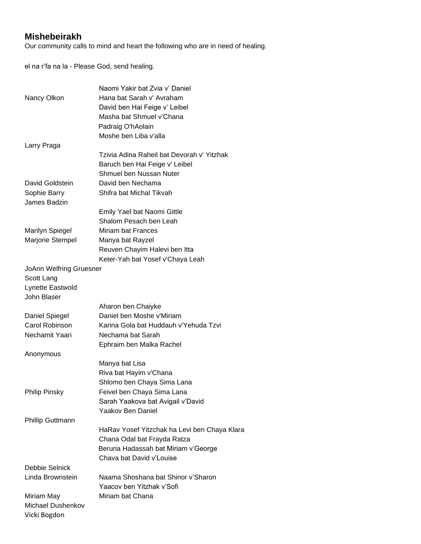## **Mishebeirakh**

Our community calls to mind and heart the following who are in need of healing.

el na r'fa na la - Please God, send healing.

|                         | Naomi Yakir bat Zvia y' Daniel               |
|-------------------------|----------------------------------------------|
| Nancy Olkon             | Hana bat Sarah v' Avraham                    |
|                         | David ben Hai Feige v' Leibel                |
|                         | Masha bat Shmuel v'Chana                     |
|                         | Padraig O'hAolain                            |
|                         | Moshe ben Liba v'alla                        |
| Larry Praga             |                                              |
|                         | Tzivia Adina Raheil bat Devorah v' Yitzhak   |
|                         | Baruch ben Hai Feige v' Leibel               |
|                         | Shmuel ben Nussan Nuter                      |
| David Goldstein         | David ben Nechama                            |
| Sophie Barry            | Shifra bat Michal Tikvah                     |
| James Badzin            |                                              |
|                         | Emily Yael bat Naomi Gittle                  |
|                         | Shalom Pesach ben Leah                       |
| <b>Marilyn Spiegel</b>  | <b>Miriam bat Frances</b>                    |
| Marjorie Stempel        | Manya bat Rayzel                             |
|                         | Reuven Chayim Halevi ben Itta                |
|                         | Keter-Yah bat Yosef v'Chaya Leah             |
| JoAnn Welfring Gruesner |                                              |
| Scott Lang              |                                              |
| Lynette Eastwold        |                                              |
| John Blaser             |                                              |
|                         | Aharon ben Chaiyke                           |
| Daniel Spiegel          | Daniel ben Moshe v'Miriam                    |
| Carol Robinson          | Karina Gola bat Huddauh v'Yehuda Tzvi        |
| Nechamit Yaari          | Nechama bat Sarah                            |
|                         | Ephraim ben Malka Rachel                     |
| Anonymous               |                                              |
|                         | Manya bat Lisa                               |
|                         | Riva bat Hayim v'Chana                       |
|                         | Shlomo ben Chaya Sima Lana                   |
| <b>Philip Pinsky</b>    | Feivel ben Chaya Sima Lana                   |
|                         | Sarah Yaakova bat Avigail v'David            |
|                         | <b>Yaakov Ben Daniel</b>                     |
| <b>Phillip Guttmann</b> |                                              |
|                         | HaRav Yosef Yitzchak ha Levi ben Chaya Klara |
|                         | Chana Odal bat Frayda Ratza                  |
|                         | Beruria Hadassah bat Miriam v'George         |
|                         | Chava bat David v'Louise                     |
| Debbie Selnick          |                                              |
| Linda Brownstein        | Naama Shoshana bat Shinor v'Sharon           |
|                         | Yaacov ben Yitzhak v'Sofi                    |
| Miriam May              | Miriam bat Chana                             |
| Michael Dushenkov       |                                              |
| Vicki Bogdon            |                                              |